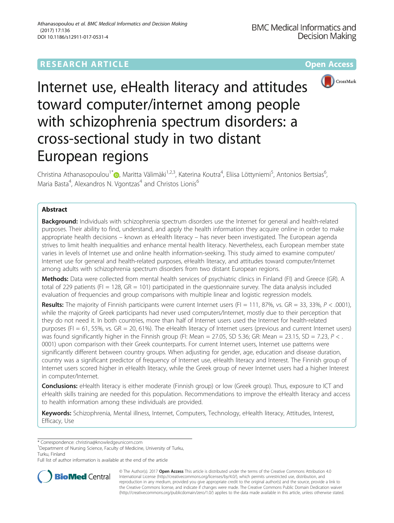# **RESEARCH ARTICLE Example 2014 12:30 The Company Access** (RESEARCH ARTICLE



Internet use, eHealth literacy and attitudes toward computer/internet among people with schizophrenia spectrum disorders: a cross-sectional study in two distant European regions

Christina Athanasopoulou<sup>1\*</sup>®, Maritta Välimäki<sup>1,2,3</sup>, Katerina Koutra<sup>4</sup>, Eliisa Löttyniemi<sup>5</sup>, Antonios Bertsias<sup>6</sup> , Maria Basta<sup>4</sup>, Alexandros N. Vgontzas<sup>4</sup> and Christos Lionis<sup>6</sup>

## Abstract

**Background:** Individuals with schizophrenia spectrum disorders use the Internet for general and health-related purposes. Their ability to find, understand, and apply the health information they acquire online in order to make appropriate health decisions – known as eHealth literacy – has never been investigated. The European agenda strives to limit health inequalities and enhance mental health literacy. Nevertheless, each European member state varies in levels of Internet use and online health information-seeking. This study aimed to examine computer/ Internet use for general and health-related purposes, eHealth literacy, and attitudes toward computer/Internet among adults with schizophrenia spectrum disorders from two distant European regions.

Methods: Data were collected from mental health services of psychiatric clinics in Finland (FI) and Greece (GR). A total of 229 patients (FI = 128, GR = 101) participated in the questionnaire survey. The data analysis included evaluation of frequencies and group comparisons with multiple linear and logistic regression models.

Results: The majority of Finnish participants were current Internet users (FI = 111, 87%, vs. GR = 33, 33%,  $P < .0001$ ), while the majority of Greek participants had never used computers/Internet, mostly due to their perception that they do not need it. In both countries, more than half of Internet users used the Internet for health-related purposes (FI = 61, 55%, vs. GR = 20, 61%). The eHealth literacy of Internet users (previous and current Internet users) was found significantly higher in the Finnish group (FI: Mean = 27.05, SD 5.36; GR: Mean = 23.15, SD = 7.23,  $P \leq$ . 0001) upon comparison with their Greek counterparts. For current Internet users, Internet use patterns were significantly different between country groups. When adjusting for gender, age, education and disease duration, country was a significant predictor of frequency of Internet use, eHealth literacy and Interest. The Finnish group of Internet users scored higher in eHealth literacy, while the Greek group of never Internet users had a higher Interest in computer/Internet.

Conclusions: eHealth literacy is either moderate (Finnish group) or low (Greek group). Thus, exposure to ICT and eHealth skills training are needed for this population. Recommendations to improve the eHealth literacy and access to health information among these individuals are provided.

Keywords: Schizophrenia, Mental illness, Internet, Computers, Technology, eHealth literacy, Attitudes, Interest, Efficacy, Use

Full list of author information is available at the end of the article



© The Author(s). 2017 **Open Access** This article is distributed under the terms of the Creative Commons Attribution 4.0 International License [\(http://creativecommons.org/licenses/by/4.0/](http://creativecommons.org/licenses/by/4.0/)), which permits unrestricted use, distribution, and reproduction in any medium, provided you give appropriate credit to the original author(s) and the source, provide a link to the Creative Commons license, and indicate if changes were made. The Creative Commons Public Domain Dedication waiver [\(http://creativecommons.org/publicdomain/zero/1.0/](http://creativecommons.org/publicdomain/zero/1.0/)) applies to the data made available in this article, unless otherwise stated.

<sup>\*</sup> Correspondence: [christina@knowledgeunicorn.com](mailto:christina@knowledgeunicorn.com) <sup>1</sup>

<sup>&</sup>lt;sup>1</sup>Department of Nursing Science, Faculty of Medicine, University of Turku, Turku, Finland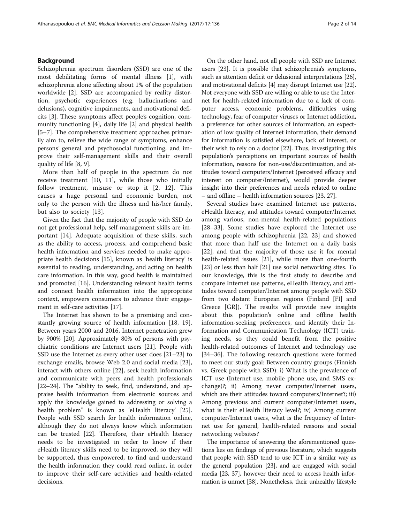## Background

Schizophrenia spectrum disorders (SSD) are one of the most debilitating forms of mental illness [\[1\]](#page-12-0), with schizophrenia alone affecting about 1% of the population worldwide [\[2\]](#page-12-0). SSD are accompanied by reality distortion, psychotic experiences (e.g. hallucinations and delusions), cognitive impairments, and motivational deficits [\[3](#page-12-0)]. These symptoms affect people's cognition, community functioning [\[4\]](#page-12-0), daily life [[2\]](#page-12-0) and physical health [[5](#page-12-0)–[7\]](#page-12-0). The comprehensive treatment approaches primarily aim to, relieve the wide range of symptoms, enhance persons' general and psychosocial functioning, and improve their self-management skills and their overall quality of life [[8, 9\]](#page-12-0).

Μore than half of people in the spectrum do not receive treatment [\[10](#page-12-0), [11](#page-12-0)], while those who initially follow treatment, misuse or stop it [[2, 12](#page-12-0)]. This causes a huge personal and economic burden, not only to the person with the illness and his/her family, but also to society [[13\]](#page-12-0).

Given the fact that the majority of people with SSD do not get professional help, self-management skills are important [[14](#page-12-0)]. Adequate acquisition of these skills, such as the ability to access, process, and comprehend basic health information and services needed to make appropriate health decisions [[15](#page-12-0)], known as 'health literacy' is essential to reading, understanding, and acting on health care information. In this way, good health is maintained and promoted [\[16](#page-12-0)]. Understanding relevant health terms and connect health information into the appropriate context, empowers consumers to advance their engagement in self-care activities [\[17](#page-12-0)].

The Internet has shown to be a promising and constantly growing source of health information [\[18](#page-12-0), [19](#page-12-0)]. Between years 2000 and 2016, Internet penetration grew by 900% [\[20](#page-12-0)]. Approximately 80% of persons with psychiatric conditions are Internet users [\[21](#page-12-0)]. People with SSD use the Internet as every other user does [[21](#page-12-0)–[23](#page-12-0)] to exchange emails, browse Web 2.0 and social media [\[23](#page-12-0)], interact with others online [[22\]](#page-12-0), seek health information and communicate with peers and health professionals [[22](#page-12-0)–[24](#page-12-0)]. The "ability to seek, find, understand, and appraise health information from electronic sources and apply the knowledge gained to addressing or solving a health problem" is known as 'eHealth literacy' [\[25](#page-12-0)]. People with SSD search for health information online, although they do not always know which information can be trusted [[22](#page-12-0)]. Therefore, their eHealth literacy needs to be investigated in order to know if their eHealth literacy skills need to be improved, so they will be supported, thus empowered, to find and understand the health information they could read online, in order to improve their self-care activities and health-related decisions.

On the other hand, not all people with SSD are Internet users [[23\]](#page-12-0). It is possible that schizophrenia's symptoms, such as attention deficit or delusional interpretations [[26](#page-12-0)], and motivational deficits [\[4\]](#page-12-0) may disrupt Internet use [[22](#page-12-0)]. Not everyone with SSD are willing or able to use the Internet for health-related information due to a lack of computer access, economic problems, difficulties using technology, fear of computer viruses or Internet addiction, a preference for other sources of information, an expectation of low quality of Internet information, their demand for information is satisfied elsewhere, lack of interest, or their wish to rely on a doctor [[22](#page-12-0)]. Thus, investigating this population's perceptions on important sources of health information, reasons for non-use/discontinuation, and attitudes toward computers/Internet (perceived efficacy and interest on computer/Internet), would provide deeper insight into their preferences and needs related to online – and offline – health information sources [[23](#page-12-0), [27\]](#page-12-0).

Several studies have examined Internet use patterns, eHealth literacy, and attitudes toward computer/Internet among various, non-mental health-related populations [[28](#page-12-0)–[33](#page-12-0)]. Some studies have explored the Internet use among people with schizophrenia [[22](#page-12-0), [23\]](#page-12-0) and showed that more than half use the Internet on a daily basis [[22\]](#page-12-0), and that the majority of those use it for mental health-related issues [\[21\]](#page-12-0), while more than one-fourth [[23\]](#page-12-0) or less than half [\[21\]](#page-12-0) use social networking sites. To our knowledge, this is the first study to describe and compare Internet use patterns, eHealth literacy, and attitudes toward computer/Internet among people with SSD from two distant European regions (Finland [FI] and Greece [GR]). The results will provide new insights about this population's online and offline health information-seeking preferences, and identify their Information and Communication Technology (ICT) training needs, so they could benefit from the positive health-related outcomes of Internet and technology use [[34](#page-12-0)–[36](#page-12-0)]. The following research questions were formed to meet our study goal: Between country groups (Finnish vs. Greek people with SSD): i) What is the prevalence of ICT use (Internet use, mobile phone use, and SMS exchange)?; ii) Among never computer/Internet users, which are their attitudes toward computers/Internet?; iii) Among previous and current computer/Internet users, what is their eHealth literacy level?; iv) Among current computer/Internet users, what is the frequency of Internet use for general, health-related reasons and social networking websites?

The importance of answering the aforementioned questions lies on findings of previous literature, which suggests that people with SSD tend to use ICT in a similar way as the general population [\[23\]](#page-12-0), and are engaged with social media [\[23,](#page-12-0) [37\]](#page-13-0), however their need to access health information is unmet [\[38\]](#page-13-0). Nonetheless, their unhealthy lifestyle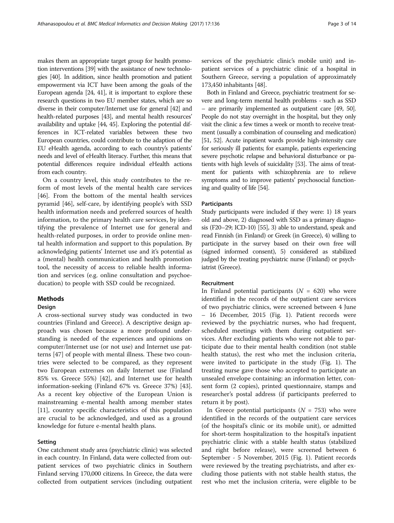makes them an appropriate target group for health promotion interventions [\[39\]](#page-13-0) with the assistance of new technologies [\[40\]](#page-13-0). In addition, since health promotion and patient empowerment via ICT have been among the goals of the European agenda [\[24](#page-12-0), [41](#page-13-0)], it is important to explore these research questions in two EU member states, which are so diverse in their computer/Internet use for general [\[42\]](#page-13-0) and health-related purposes [\[43\]](#page-13-0), and mental health resources' availability and uptake [[44](#page-13-0), [45\]](#page-13-0). Exploring the potential differences in ICT-related variables between these two European countries, could contribute to the adaption of the EU eHealth agenda, according to each country's patients' needs and level of eHealth literacy. Further, this means that potential differences require individual eHealth actions from each country.

On a country level, this study contributes to the reform of most levels of the mental health care services [[46\]](#page-13-0). From the bottom of the mental health services pyramid [\[46](#page-13-0)], self-care, by identifying people's with SSD health information needs and preferred sources of health information, to the primary health care services, by identifying the prevalence of Internet use for general and health-related purposes, in order to provide online mental health information and support to this population. By acknowledging patients' Internet use and it's potential as a (mental) health communication and health promotion tool, the necessity of access to reliable health information and services (e.g. online consultation and psychoeducation) to people with SSD could be recognized.

## Methods

## Design

A cross-sectional survey study was conducted in two countries (Finland and Greece). A descriptive design approach was chosen because a more profound understanding is needed of the experiences and opinions on computer/Internet use (or not use) and Internet use patterns [\[47](#page-13-0)] of people with mental illness. These two countries were selected to be compared, as they represent two European extremes on daily Internet use (Finland 85% vs. Greece 55%) [[42\]](#page-13-0), and Internet use for health information-seeking (Finland 67% vs. Greece 37%) [\[43](#page-13-0)]. As a recent key objective of the European Union is mainstreaming e-mental health among member states [[11\]](#page-12-0), country specific characteristics of this population are crucial to be acknowledged, and used as a ground knowledge for future e-mental health plans.

## Setting

One catchment study area (psychiatric clinic) was selected in each country. In Finland, data were collected from outpatient services of two psychiatric clinics in Southern Finland serving 170,000 citizens. In Greece, the data were collected from outpatient services (including outpatient services of the psychiatric clinic's mobile unit) and inpatient services of a psychiatric clinic of a hospital in Southern Greece, serving a population of approximately 173,450 inhabitants [\[48](#page-13-0)].

Both in Finland and Greece, psychiatric treatment for severe and long-term mental health problems - such as SSD – are primarily implemented as outpatient care [\[49, 50](#page-13-0)]. People do not stay overnight in the hospital, but they only visit the clinic a few times a week or month to receive treatment (usually a combination of counseling and medication) [[51](#page-13-0), [52](#page-13-0)]. Acute inpatient wards provide high-intensity care for seriously ill patients; for example, patients experiencing severe psychotic relapse and behavioral disturbance or patients with high levels of suicidality [\[53\]](#page-13-0). The aims of treatment for patients with schizophrenia are to relieve symptoms and to improve patients' psychosocial functioning and quality of life [\[54](#page-13-0)].

## Participants

Study participants were included if they were: 1) 18 years old and above, 2) diagnosed with SSD as a primary diagnosis (F20–29; ICD-10) [\[55](#page-13-0)], 3) able to understand, speak and read Finnish (in Finland) or Greek (in Greece), 4) willing to participate in the survey based on their own free will (signed informed consent), 5) considered as stabilized judged by the treating psychiatric nurse (Finland) or psychiatrist (Greece).

## Recruitment

In Finland potential participants  $(N = 620)$  who were identified in the records of the outpatient care services of two psychiatric clinics, were screened between 4 June – 16 December, 2015 (Fig. [1\)](#page-3-0). Patient records were reviewed by the psychiatric nurses, who had frequent, scheduled meetings with them during outpatient services. After excluding patients who were not able to participate due to their mental health condition (not stable health status), the rest who met the inclusion criteria, were invited to participate in the study (Fig. [1\)](#page-3-0). The treating nurse gave those who accepted to participate an unsealed envelope containing: an information letter, consent form (2 copies), printed questionnaire, stamps and researcher's postal address (if participants preferred to return it by post).

In Greece potential participants ( $N = 753$ ) who were identified in the records of the outpatient care services (of the hospital's clinic or its mobile unit), or admitted for short-term hospitalization to the hospital's inpatient psychiatric clinic with a stable health status (stabilized and right before release), were screened between 6 September - 5 November, 2015 (Fig. [1](#page-3-0)). Patient records were reviewed by the treating psychiatrists, and after excluding those patients with not stable health status, the rest who met the inclusion criteria, were eligible to be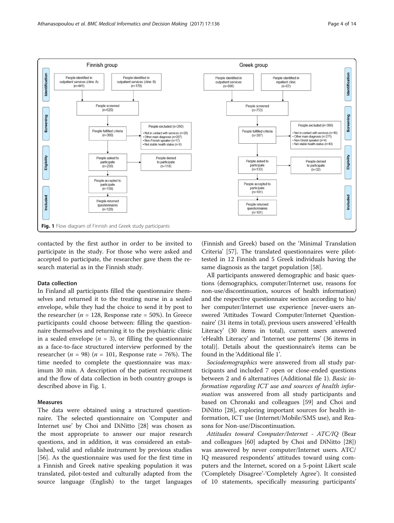<span id="page-3-0"></span>

contacted by the first author in order to be invited to participate in the study. For those who were asked and accepted to participate, the researcher gave them the research material as in the Finnish study.

## Data collection

In Finland all participants filled the questionnaire themselves and returned it to the treating nurse in a sealed envelope, while they had the choice to send it by post to the researcher ( $n = 128$ , Response rate = 50%). In Greece participants could choose between: filling the questionnaire themselves and returning it to the psychiatric clinic in a sealed envelope ( $n = 3$ ), or filling the questionnaire as a face-to-face structured interview performed by the researcher ( $n = 98$ ) ( $n = 101$ , Response rate = 76%). The time needed to complete the questionnaire was maximum 30 min. A description of the patient recruitment and the flow of data collection in both country groups is described above in Fig. 1.

## Measures

The data were obtained using a structured questionnaire. The selected questionnaire on 'Computer and Internet use' by Choi and DiNitto [[28\]](#page-12-0) was chosen as the most appropriate to answer our major research questions, and in addition, it was considered an established, valid and reliable instrument by previous studies [[56\]](#page-13-0). As the questionnaire was used for the first time in a Finnish and Greek native speaking population it was translated, pilot-tested and culturally adapted from the source language (English) to the target languages (Finnish and Greek) based on the 'Minimal Translation Criteria' [[57\]](#page-13-0). The translated questionnaires were pilottested in 12 Finnish and 5 Greek individuals having the same diagnosis as the target population [[58](#page-13-0)].

All participants answered demographic and basic questions (demographics, computer/Internet use, reasons for non-use/discontinuation, sources of health information) and the respective questionnaire section according to his/ her computer/Internet use experience [never-users answered 'Attitudes Toward Computer/Internet Questionnaire' (31 items in total), previous users answered 'eHealth Literacy' (30 items in total), current users answered 'eHealth Literacy' and 'Internet use patterns' (36 items in total)]. Details about the questionnaire's items can be found in the 'Additional file [1](#page-11-0)'.

Sociodemographics were answered from all study participants and included 7 open or close-ended questions between 2 and 6 alternatives (Additional file [1](#page-11-0)). Basic information regarding ICT use and sources of health information was answered from all study participants and based on Chronaki and colleagues [[59\]](#page-13-0) and Choi and DiNitto [[28\]](#page-12-0), exploring important sources for health information, ICT use (Internet/Mobile/SMS use), and Reasons for Non-use/Discontinuation.

Attitudes toward Computer/Internet - ATC/IQ (Bear and colleagues [\[60\]](#page-13-0) adapted by Choi and DiNitto [\[28](#page-12-0)]) was answered by never computer/Internet users. ATC/ IQ measured respondents' attitudes toward using computers and the Internet, scored on a 5-point Likert scale ('Completely Disagree'-'Completely Agree'). It consisted of 10 statements, specifically measuring participants'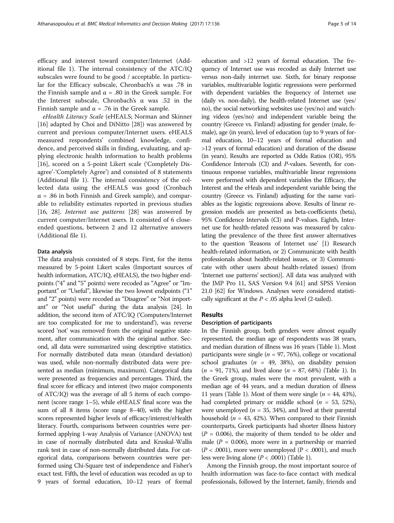efficacy and interest toward computer/Internet (Additional file [1\)](#page-11-0). The internal consistency of the ATC/IQ subscales were found to be good / acceptable. In particular for the Efficacy subscale, Chronbach's α was .78 in the Finnish sample and  $\alpha = .80$  in the Greek sample. For the Interest subscale, Chronbach's α was .52 in the Finnish sample and  $\alpha$  = .76 in the Greek sample.

eHealth Literacy Scale (eHEALS; Norman and Skinner [[16\]](#page-12-0) adapted by Choi and DiNitto [\[28](#page-12-0)]) was answered by current and previous computer/Internet users. eHEALS measured respondents' combined knowledge, confidence, and perceived skills in finding, evaluating, and applying electronic health information to health problems [[16\]](#page-12-0), scored on a 5-point Likert scale ('Completely Disagree'-'Completely Agree') and consisted of 8 statements (Additional file [1\)](#page-11-0). The internal consistency of the collected data using the eHEALS was good (Cronbach  $\alpha$  = .86 in both Finnish and Greek sample), and comparable to reliability estimates reported in previous studies [[16, 28](#page-12-0)]. Internet use patterns [\[28](#page-12-0)] was answered by current computer/Internet users. It consisted of 6 closeended questions, between 2 and 12 alternative answers (Additional file [1](#page-11-0)).

## Data analysis

The data analysis consisted of 8 steps. First, for the items measured by 5-point Likert scales (Important sources of health information, ATC/IQ, eHEALS), the two higher endpoints ("4" and "5" points) were recoded as "Agree" or "Important" or "Useful", likewise the two lowest endpoints ("1" and "2" points) were recoded as "Disagree" or "Not important" or "Not useful" during the data analysis [[24](#page-12-0)]. In addition, the second item of ATC/IQ ('Computers/Internet are too complicated for me to understand'), was reverse scored 'not' was removed from the original negative statement, after communication with the original author. Second, all data were summarized using descriptive statistics. For normally distributed data mean (standard deviation) was used, while non-normally distributed data were presented as median (minimum, maximum). Categorical data were presented as frequencies and percentages. Third, the final score for efficacy and interest (two major components of ATC/IQ) was the average of all 5 items of each component (score range 1–5), while eHEALS' final score was the sum of all 8 items (score range 8–40), with the higher scores represented higher levels of efficacy/interest/eHealth literacy. Fourth, comparisons between countries were performed applying 1-way Analysis of Variance (ANOVA) test in case of normally distributed data and Kruskal-Wallis rank test in case of non-normally distributed data. For categorical data, comparisons between countries were performed using Chi-Square test of independence and Fisher's exact test. Fifth, the level of education was recoded as up to 9 years of formal education, 10–12 years of formal

education and >12 years of formal education. The frequency of Internet use was recoded as daily Internet use versus non-daily internet use. Sixth, for binary response variables, multivariable logistic regressions were performed with dependent variables the frequency of Internet use (daily vs. non-daily), the health-related Internet use (yes/ no), the social networking websites use (yes/no) and watching videos (yes/no) and independent variable being the country (Greece vs. Finland) adjusting for gender (male, female), age (in years), level of education (up to 9 years of formal education, 10–12 years of formal education and >12 years of formal education) and duration of the disease (in years). Results are reported as Odds Ratios (OR), 95% Confidence Intervals (CI) and P-values. Seventh, for continuous response variables, multivariable linear regressions were performed with dependent variables the Efficacy, the Interest and the eHeals and independent variable being the country (Greece vs. Finland) adjusting for the same variables as the logistic regressions above. Results of linear regression models are presented as beta-coefficients (beta), 95% Confidence Intervals (CI) and P-values. Eighth, Internet use for health-related reasons was measured by calculating the prevalence of the three first answer alternatives to the question 'Reasons of Internet use' [1) Research health-related information, or 2) Communicate with health professionals about health-related issues, or 3) Communicate with other users about health-related issues) (from 'Internet use patterns' section)]. All data was analyzed with the JMP Pro 11, SAS Version 9.4 [\[61\]](#page-13-0) and SPSS Version 21.0 [\[62](#page-13-0)] for Windows. Analyses were considered statistically significant at the  $P < .05$  alpha level (2-tailed).

## Results

### Description of participants

In the Finnish group, both genders were almost equally represented, the median age of respondents was 38 years, and median duration of illness was 16 years (Table [1](#page-5-0)). Most participants were single ( $n = 97, 76\%$ ), college or vocational school graduates ( $n = 49, 38\%)$ , on disability pension  $(n = 91, 71\%)$ , and lived alone  $(n = 87, 68\%)$  (Table [1](#page-5-0)). In the Greek group, males were the most prevalent, with a median age of 44 years, and a median duration of illness 11 years (Table [1\)](#page-5-0). Most of them were single ( $n = 44, 43\%$ ), had completed primary or middle school ( $n = 53, 52\%$ ), were unemployed ( $n = 35$ , 34%), and lived at their parental household ( $n = 43, 42\%$ ). When compared to their Finnish counterparts, Greek participants had shorter illness history  $(P = 0.006)$ , the majority of them tended to be older and male ( $P = 0.006$ ), more were in a partnership or married  $(P < .0001)$ , more were unemployed  $(P < .0001)$ , and much less were living alone  $(P < .0001)$  (Table [1\)](#page-5-0).

Among the Finnish group, the most important source of health information was face-to-face contact with medical professionals, followed by the Internet, family, friends and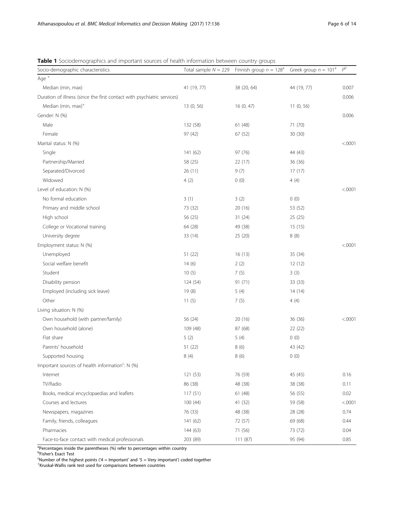| Socio-demographic characteristics                                       | Total sample $N = 229$ | Finnish group $n = 128^a$ | Greek group $n = 101a$ | $\bar{\rho^b}$ |
|-------------------------------------------------------------------------|------------------------|---------------------------|------------------------|----------------|
| Age <sup>+</sup>                                                        |                        |                           |                        |                |
| Median (min, max)                                                       | 41 (19, 77)            | 38 (20, 64)               | 44 (19, 77)            | 0.007          |
| Duration of illness (since the first contact with psychiatric services) |                        |                           |                        | 0.006          |
| Median (min, max) <sup>+</sup>                                          | 13 (0, 56)             | 16 (0, 47)                | 11(0, 56)              |                |
| Gender: N (%)                                                           |                        |                           |                        | 0.006          |
| Male                                                                    | 132 (58)               | 61 (48)                   | 71 (70)                |                |
| Female                                                                  | 97 (42)                | 67 (52)                   | 30 (30)                |                |
| Marital status: N (%)                                                   |                        |                           |                        | < .0001        |
| Single                                                                  | 141 (62)               | 97 (76)                   | 44 (43)                |                |
| Partnership/Married                                                     | 58 (25)                | 22(17)                    | 36 (36)                |                |
| Separated/Divorced                                                      | 26(11)                 | 9(7)                      | 17(17)                 |                |
| Widowed                                                                 | 4(2)                   | 0(0)                      | 4(4)                   |                |
| Level of education: N (%)                                               |                        |                           |                        | < .0001        |
| No formal education                                                     | 3(1)                   | 3(2)                      | 0(0)                   |                |
| Primary and middle school                                               | 73 (32)                | 20(16)                    | 53 (52)                |                |
| High school                                                             | 56 (25)                | 31(24)                    | 25 (25)                |                |
| College or Vocational training                                          | 64 (28)                | 49 (38)                   | 15(15)                 |                |
| University degree                                                       | 33 (14)                | 25 (20)                   | 8(8)                   |                |
| Employment status: N (%)                                                |                        |                           |                        | < .0001        |
| Unemployed                                                              | 51 (22)                | 16(13)                    | 35 (34)                |                |
| Social welfare benefit                                                  | 14(6)                  | 2(2)                      | 12(12)                 |                |
| Student                                                                 | 10(5)                  | 7(5)                      | 3(3)                   |                |
| Disability pension                                                      | 124 (54)               | 91(71)                    | 33(33)                 |                |
| Employed (including sick leave)                                         | 19(8)                  | 5(4)                      | 14(14)                 |                |
| Other                                                                   | 11(5)                  | 7(5)                      | 4(4)                   |                |
| Living situation: N (%)                                                 |                        |                           |                        |                |
| Own household (with partner/family)                                     | 56 (24)                | 20(16)                    | 36 (36)                | < .0001        |
| Own household (alone)                                                   | 109 (48)               | 87 (68)                   | 22 (22)                |                |
| Flat share                                                              | 5(2)                   | 5(4)                      | 0(0)                   |                |
| Parents' household                                                      | 51 (22)                | 8(6)                      | 43 (42)                |                |
| Supported housing                                                       | 8(4)                   | 8(6)                      | 0(0)                   |                |
| Important sources of health information <sup>c</sup> : N (%)            |                        |                           |                        |                |
| Internet                                                                | 121 (53)               | 76 (59)                   | 45 (45)                | 0.16           |
| TV/Radio                                                                | 86 (38)                | 48 (38)                   | 38 (38)                | 0.11           |
| Books, medical encyclopaedias and leaflets                              | 117(51)                | 61 (48)                   | 56 (55)                | 0.02           |
| Courses and lectures                                                    | 100(44)                | 41 (32)                   | 59 (58)                | < .0001        |
| Newspapers, magazines                                                   | 76 (33)                | 48 (38)                   | 28 (28)                | 0.74           |
| Family, friends, colleagues                                             | 141(62)                | 72 (57)                   | 69 (68)                | 0.44           |
| Pharmacies                                                              | 144 (63)               | 71 (56)                   | 73 (72)                | 0.04           |
| Face-to-face contact with medical professionals                         | 203 (89)               | 111 (87)                  | 95 (94)                | 0.85           |

<span id="page-5-0"></span>Table 1 Sociodemographics and important sources of health information between country groups

<sup>a</sup>Percentages inside the parentheses (%) refer to percentages within country<br><sup>b</sup>Fisher's Exact Test<br><sup>SNumber of the bighest points ('4 – Important' and '5 – Very important') co</sup>

 ${}^{\text{c}}$ Number of the highest points ('4 = Important' and '5 = Very important') coded together

Kruskal-Wallis rank test used for comparisons between countries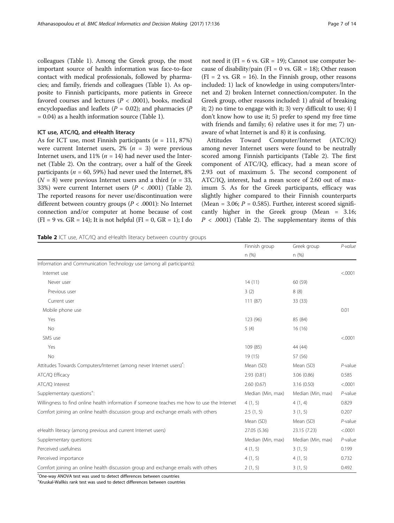<span id="page-6-0"></span>colleagues (Table [1](#page-5-0)). Among the Greek group, the most important source of health information was face-to-face contact with medical professionals, followed by pharmacies; and family, friends and colleagues (Table [1](#page-5-0)). As opposite to Finnish participants, more patients in Greece favored courses and lectures ( $P < .0001$ ), books, medical encyclopaedias and leaflets ( $P = 0.02$ ); and pharmacies ( $P$ = 0.04) as a health information source (Table [1](#page-5-0)).

## ICT use, ATC/IQ, and eHealth literacy

As for ICT use, most Finnish participants ( $n = 111, 87\%)$ were current Internet users,  $2\%$  ( $n = 3$ ) were previous Internet users, and  $11\%$  ( $n = 14$ ) had never used the Internet (Table 2). On the contrary, over a half of the Greek participants ( $n = 60, 59\%$ ) had never used the Internet, 8%  $(N = 8)$  were previous Internet users and a third  $(n = 33,$ 33%) were current Internet users ( $P < .0001$ ) (Table 2). The reported reasons for never use/discontinuation were different between country groups ( $P < .0001$ ): No Internet connection and/or computer at home because of cost  $(FI = 9 \text{ vs. } GR = 14)$ ; It is not helpful  $(FI = 0, GR = 1)$ ; I do

not need it (FI =  $6$  vs.  $GR = 19$ ); Cannot use computer because of disability/pain (FI = 0 vs.  $GR = 18$ ); Other reason  $(FI = 2 \text{ vs. } GR = 16)$ . In the Finnish group, other reasons included: 1) lack of knowledge in using computers/Internet and 2) broken Internet connection/computer. In the Greek group, other reasons included: 1) afraid of breaking it; 2) no time to engage with it; 3) very difficult to use; 4) I don't know how to use it; 5) prefer to spend my free time with friends and family; 6) relative uses it for me; 7) unaware of what Internet is and 8) it is confusing.

Attitudes Toward Computer/Internet (ATC/IQ) among never Internet users were found to be neutrally scored among Finnish participants (Table 2). The first component of ATC/IQ, efficacy, had a mean score of 2.93 out of maximum 5. The second component of ATC/IQ, interest, had a mean score of 2.60 out of maximum 5. As for the Greek participants, efficacy was slightly higher compared to their Finnish counterparts (Mean = 3.06;  $P = 0.585$ ). Further, interest scored significantly higher in the Greek group (Mean = 3.16;  $P < .0001$ ) (Table 2). The supplementary items of this

Table 2 ICT use, ATC/IQ and eHealth literacy between country groups

|                                                                                             | Finnish group     | Greek group       | P-value    |
|---------------------------------------------------------------------------------------------|-------------------|-------------------|------------|
|                                                                                             | n(%)              | n(%)              |            |
| Information and Communication Technology use (among all participants):                      |                   |                   |            |
| Internet use                                                                                |                   |                   | < .0001    |
| Never user                                                                                  | 14(11)            | 60 (59)           |            |
| Previous user                                                                               | 3(2)              | 8(8)              |            |
| Current user                                                                                | 111(87)           | 33 (33)           |            |
| Mobile phone use                                                                            |                   |                   | 0.01       |
| Yes                                                                                         | 123 (96)          | 85 (84)           |            |
| <b>No</b>                                                                                   | 5(4)              | 16(16)            |            |
| SMS use                                                                                     |                   |                   | < .0001    |
| Yes                                                                                         | 109 (85)          | 44 (44)           |            |
| <b>No</b>                                                                                   | 19(15)            | 57 (56)           |            |
| Attitudes Towards Computers/Internet (among never Internet users) <sup>7</sup> :            | Mean (SD)         | Mean (SD)         | $P$ -value |
| ATC/IQ Efficacy                                                                             | 2.93(0.81)        | 3.06(0.86)        | 0.585      |
| ATC/IQ Interest                                                                             | 2.60(0.67)        | 3.16(0.50)        | < .0001    |
| Supplementary questions <sup>+</sup> :                                                      | Median (Min, max) | Median (Min, max) | $P$ -value |
| Willingness to find online health information if someone teaches me how to use the Internet | 4(1, 5)           | 4(1, 4)           | 0.829      |
| Comfort joining an online health discussion group and exchange emails with others           | 2.5(1, 5)         | 3(1, 5)           | 0.207      |
|                                                                                             | Mean (SD)         | Mean (SD)         | $P$ -value |
| eHealth literacy (among previous and current Internet users)                                | 27.05 (5.36)      | 23.15 (7.23)      | < .0001    |
| Supplementary questions:                                                                    | Median (Min, max) | Median (Min, max) | $P$ -value |
| Perceived usefulness                                                                        | 4(1, 5)           | 3(1, 5)           | 0.199      |
| Perceived importance                                                                        | 4(1, 5)           | 4(1, 5)           | 0.732      |
| Comfort joining an online health discussion group and exchange emails with others           | 2(1, 5)           | 3(1, 5)           | 0.492      |

\* One-way ANOVA test was used to detect differences between countries

+ Kruskal-Wallkis rank test was used to detect differences between countries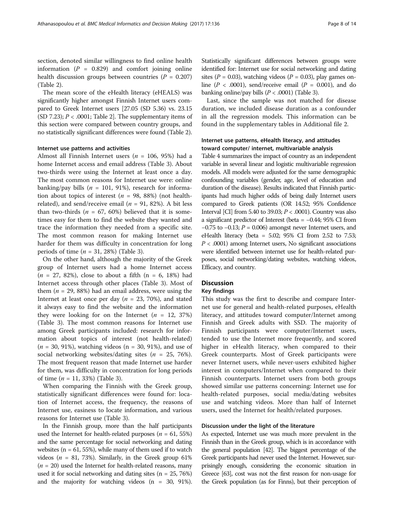section, denoted similar willingness to find online health information  $(P = 0.829)$  and comfort joining online health discussion groups between countries ( $P = 0.207$ ) (Table [2\)](#page-6-0).

The mean score of the eHealth literacy (eHEALS) was significantly higher amongst Finnish Internet users compared to Greek Internet users [27.05 (SD 5.36) vs. 23.15 (SD 7.23);  $P < .0001$ ; Table [2](#page-6-0)]. The supplementary items of this section were compared between country groups, and no statistically significant differences were found (Table [2](#page-6-0)).

#### Internet use patterns and activities

Almost all Finnish Internet users ( $n = 106, 95\%$ ) had a home Internet access and email address (Table [3\)](#page-8-0). About two-thirds were using the Internet at least once a day. The most common reasons for Internet use were: online banking/pay bills ( $n = 101, 91\%$ ), research for information about topics of interest ( $n = 98$ , 88%) (not healthrelated), and send/receive email ( $n = 91, 82\%$ ). A bit less than two-thirds ( $n = 67, 60\%$ ) believed that it is sometimes easy for them to find the website they wanted and trace the information they needed from a specific site. The most common reason for making Internet use harder for them was difficulty in concentration for long periods of time  $(n = 31, 28%)$  (Table [3\)](#page-8-0).

On the other hand, although the majority of the Greek group of Internet users had a home Internet access  $(n = 27, 82\%)$ , close to about a fifth  $(n = 6, 18\%)$  had Internet access through other places (Table [3](#page-8-0)). Most of them ( $n = 29, 88\%$ ) had an email address, were using the Internet at least once per day ( $n = 23, 70\%$ ), and stated it always easy to find the website and the information they were looking for on the Internet ( $n = 12, 37\%)$ (Table [3\)](#page-8-0). The most common reasons for Internet use among Greek participants included: research for information about topics of interest (not health-related)  $(n = 30, 91\%)$ , watching videos  $(n = 30, 91\%)$ , and use of social networking websites/dating sites ( $n = 25, 76\%$ ). The most frequent reason that made Internet use harder for them, was difficulty in concentration for long periods of time  $(n = 11, 33%)$  (Table [3\)](#page-8-0).

When comparing the Finnish with the Greek group, statistically significant differences were found for: location of Internet access, the frequency, the reasons of Internet use, easiness to locate information, and various reasons for Internet use (Table [3](#page-8-0)).

In the Finnish group, more than the half participants used the Internet for health-related purposes ( $n = 61, 55\%)$ and the same percentage for social networking and dating websites ( $n = 61, 55\%$ ), while many of them used if to watch videos ( $n = 81, 73\%$ ). Similarly, in the Greek group 61%  $(n = 20)$  used the Internet for health-related reasons, many used it for social networking and dating sites  $(n = 25, 76%)$ and the majority for watching videos  $(n = 30, 91\%).$ 

Statistically significant differences between groups were identified for: Internet use for social networking and dating sites ( $P = 0.03$ ), watching videos ( $P = 0.03$ ), play games online ( $P < .0001$ ), send/receive email ( $P = 0.001$ ), and do banking online/pay bills  $(P < .0001)$  (Table [3](#page-8-0)).

Last, since the sample was not matched for disease duration, we included disease duration as a confounder in all the regression models. This information can be found in the supplementary tables in Additional file [2](#page-11-0).

## Internet use patterns, eHealth literacy, and attitudes toward computer/ internet, multivariable analysis

Table [4](#page-9-0) summarizes the impact of country as an independent variable in several linear and logistic multivariable regression models. All models were adjusted for the same demographic confounding variables (gender, age, level of education and duration of the disease). Results indicated that Finnish participants had much higher odds of being daily Internet users compared to Greek patients (OR 14.52; 95% Confidence Interval [CI] from 5.40 to 39.03;  $P < .0001$ ). Country was also a significant predictor of Interest (beta = −0.44; 95% CI from  $-0.75$  to  $-0.13$ ;  $P = 0.006$ ) amongst never Internet users, and eHealth literacy (beta =  $5.02$ ;  $95\%$  CI from 2.52 to 7.53;  $P < .0001$ ) among Internet users, No significant associations were identified between internet use for health-related purposes, social networking/dating websites, watching videos, Efficacy, and country.

## **Discussion**

#### Key findings

This study was the first to describe and compare Internet use for general and health-related purposes, eHealth literacy, and attitudes toward computer/Internet among Finnish and Greek adults with SSD. The majority of Finnish participants were computer/Internet users, tended to use the Internet more frequently, and scored higher in eHealth literacy, when compared to their Greek counterparts. Most of Greek participants were never Internet users, while never-users exhibited higher interest in computers/Internet when compared to their Finnish counterparts. Internet users from both groups showed similar use patterns concerning: Internet use for health-related purposes, social media/dating websites use and watching videos. More than half of Internet users, used the Internet for health/related purposes.

## Discussion under the light of the literature

As expected, Internet use was much more prevalent in the Finnish than in the Greek group, which is in accordance with the general population [\[42\]](#page-13-0). The biggest percentage of the Greek participants had never used the Internet. However, surprisingly enough, considering the economic situation in Greece [\[63\]](#page-13-0), cost was not the first reason for non-usage for the Greek population (as for Finns), but their perception of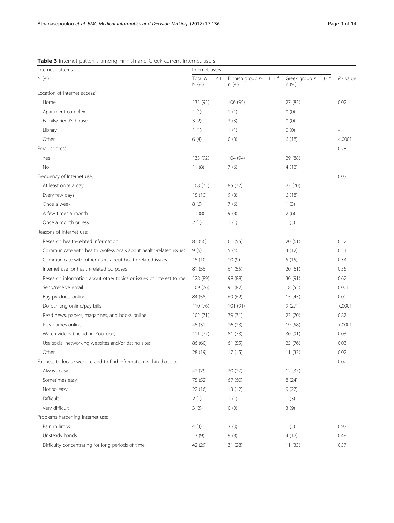| Internet patterns                                                     | Internet users           |                                              |                                            |             |
|-----------------------------------------------------------------------|--------------------------|----------------------------------------------|--------------------------------------------|-------------|
| N (%)                                                                 | Total $N = 144$<br>N (%) | Finnish group $n = 111$ <sup>a</sup><br>n(%) | Greek group $n = 33$ <sup>a</sup><br>n (%) | $P$ - value |
| Location of Internet access: <sup>b</sup>                             |                          |                                              |                                            |             |
| Home                                                                  | 133 (92)                 | 106 (95)                                     | 27 (82)                                    | 0.02        |
| Apartment complex                                                     | 1(1)                     | 1(1)                                         | 0(0)                                       |             |
| Family/friend's house                                                 | 3(2)                     | 3(3)                                         | 0(0)                                       |             |
| Library                                                               | 1(1)                     | 1(1)                                         | 0(0)                                       |             |
| Other                                                                 | 6(4)                     | 0(0)                                         | 6(18)                                      | < .0001     |
| Email address:                                                        |                          |                                              |                                            | 0.28        |
| Yes                                                                   | 133 (92)                 | 104 (94)                                     | 29 (88)                                    |             |
| <b>No</b>                                                             | 11(8)                    | 7(6)                                         | 4(12)                                      |             |
| Frequency of Internet use:                                            |                          |                                              |                                            | 0.03        |
| At least once a day                                                   | 108 (75)                 | 85 (77)                                      | 23 (70)                                    |             |
| Every few days                                                        | 15(10)                   | 9(8)                                         | 6(18)                                      |             |
| Once a week                                                           | 8(6)                     | 7(6)                                         | 1(3)                                       |             |
| A few times a month                                                   | 11(8)                    | 9(8)                                         | 2(6)                                       |             |
| Once a month or less                                                  | 2(1)                     | 1(1)                                         | 1(3)                                       |             |
| Reasons of Internet use:                                              |                          |                                              |                                            |             |
| Research health-related information                                   | 81 (56)                  | 61(55)                                       | 20(61)                                     | 0.57        |
| Communicate with health professionals about health-related issues     | 9(6)                     | 5(4)                                         | 4(12)                                      | 0.21        |
| Communicate with other users about health-related issues              | 15(10)                   | 10(9)                                        | 5(15)                                      | 0.34        |
| Internet use for health-related purposes <sup>c</sup>                 | 81 (56)                  | 61(55)                                       | 20(61)                                     | 0.56        |
| Research information about other topics or issues of interest to me   | 128 (89)                 | 98 (88)                                      | 30 (91)                                    | 0.67        |
| Send/receive email                                                    | 109 (76)                 | 91 (82)                                      | 18 (55)                                    | 0.001       |
| Buy products online                                                   | 84 (58)                  | 69 (62)                                      | 15(45)                                     | 0.09        |
| Do banking online/pay bills                                           | 110 (76)                 | 101 (91)                                     | 9(27)                                      | < .0001     |
| Read news, papers, magazines, and books online                        | 102(71)                  | 79 (71)                                      | 23 (70)                                    | 0.87        |
| Play games online                                                     | 45 (31)                  | 26(23)                                       | 19 (58)                                    | < .0001     |
| Watch videos (including YouTube)                                      | 111(77)                  | 81 (73)                                      | 30 (91)                                    | 0.03        |
| Use social networking websites and/or dating sites                    | 86 (60)                  | 61(55)                                       | 25(76)                                     | 0.03        |
| Other                                                                 | 28 (19)                  | 17(15)                                       | 11(33)                                     | 0.02        |
| Easiness to locate website and to find information within that site:d |                          |                                              |                                            | 0.02        |
| Always easy                                                           | 42 (29)                  | 30 (27)                                      | 12(37)                                     |             |
| Sometimes easy                                                        | 75 (52)                  | 67 (60)                                      | 8(24)                                      |             |
| Not so easy                                                           | 22 (16)                  | 13(12)                                       | 9(27)                                      |             |
| Difficult                                                             | 2(1)                     | 1(1)                                         | 1(3)                                       |             |
| Very difficult                                                        | 3(2)                     | 0(0)                                         | 3(9)                                       |             |
| Problems hardening Internet use:                                      |                          |                                              |                                            |             |
| Pain in limbs                                                         | 4(3)                     | 3(3)                                         | 1(3)                                       | 0.93        |
| Unsteady hands                                                        | 13(9)                    | 9(8)                                         | 4(12)                                      | 0.49        |
| Difficulty concentrating for long periods of time                     | 42 (29)                  | 31 (28)                                      | 11(33)                                     | 0.57        |

<span id="page-8-0"></span>Table 3 Internet patterns among Finnish and Greek current Internet users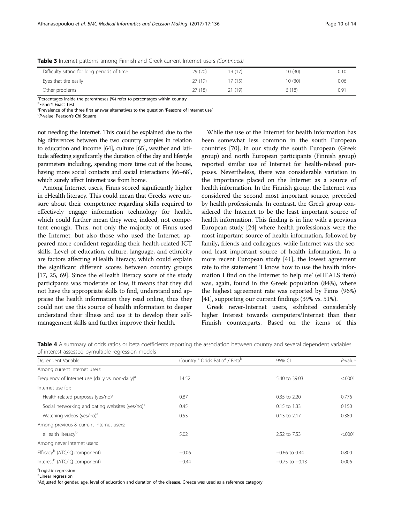| Difficulty sitting for long periods of time | 29(20)  | 19 (17) | 10 (30) | 0.10 |
|---------------------------------------------|---------|---------|---------|------|
| Eyes that tire easily                       | 27 (19) | 17 (15) | 10 (30) | 0.06 |
| Other problems                              | 27(18)  | 21 (19) | 6(18)   | 0.91 |

<span id="page-9-0"></span>Table 3 Internet patterns among Finnish and Greek current Internet users (Continued)

<sup>a</sup>Percentages inside the parentheses (%) refer to percentages within country

*b***Fisher's Exact Test**<br><sup>C</sup>Prevalence of the

<sup>c</sup>Prevalence of the three first answer alternatives to the question 'Reasons of Internet use'

<sup>d</sup>P-value: Pearson's Chi Square

not needing the Internet. This could be explained due to the big differences between the two country samples in relation to education and income [\[64](#page-13-0)], culture [\[65\]](#page-13-0), weather and latitude affecting significantly the duration of the day and lifestyle parameters including, spending more time out of the house, having more social contacts and social interactions [\[66](#page-13-0)–[68\]](#page-13-0), which surely affect Internet use from home.

Among Internet users, Finns scored significantly higher in eHealth literacy. This could mean that Greeks were unsure about their competence regarding skills required to effectively engage information technology for health, which could further mean they were, indeed, not competent enough. Thus, not only the majority of Finns used the Internet, but also those who used the Internet, appeared more confident regarding their health-related ICT skills. Level of education, culture, language, and ethnicity are factors affecting eHealth literacy, which could explain the significant different scores between country groups [[17](#page-12-0), [25,](#page-12-0) [69\]](#page-13-0). Since the eHealth literacy score of the study participants was moderate or low, it means that they did not have the appropriate skills to find, understand and appraise the health information they read online, thus they could not use this source of health information to deeper understand their illness and use it to develop their selfmanagement skills and further improve their health.

While the use of the Internet for health information has been somewhat less common in the south European countries [\[70\]](#page-13-0), in our study the south European (Greek group) and north European participants (Finnish group) reported similar use of Internet for health-related purposes. Nevertheless, there was considerable variation in the importance placed on the Internet as a source of health information. In the Finnish group, the Internet was considered the second most important source, preceded by health professionals. In contrast, the Greek group considered the Internet to be the least important source of health information. This finding is in line with a previous European study [\[24\]](#page-12-0) where health professionals were the most important source of health information, followed by family, friends and colleagues, while Internet was the second least important source of health information. In a more recent European study [[41\]](#page-13-0), the lowest agreement rate to the statement 'I know how to use the health information I find on the Internet to help me' (eHEALS item) was, again, found in the Greek population (84%), where the highest agreement rate was reported by Finns (96%) [[41](#page-13-0)], supporting our current findings (39% vs. 51%).

Greek never-Internet users, exhibited considerably higher Interest towards computers/Internet than their Finnish counterparts. Based on the items of this

Table 4 A summary of odds ratios or beta coefficients reporting the association between country and several dependent variables of interest assessed bymultiple regression models

| Dependent Variable                                           | Country <sup>c</sup> Odds Ratio <sup>a</sup> / Beta <sup>b</sup> | 95% CI             | $P$ -value |
|--------------------------------------------------------------|------------------------------------------------------------------|--------------------|------------|
| Among current Internet users:                                |                                                                  |                    |            |
| Frequency of Internet use (daily vs. non-daily) <sup>a</sup> | 14.52                                                            | 5.40 to 39.03      | < .0001    |
| Internet use for:                                            |                                                                  |                    |            |
| Health-related purposes (yes/no) <sup>a</sup>                | 0.87                                                             | 0.35 to 2.20       | 0.776      |
| Social networking and dating websites (yes/no) <sup>a</sup>  | 0.45                                                             | 0.15 to 1.33       | 0.150      |
| Watching videos (yes/no) <sup>a</sup>                        | 0.53                                                             | 0.13 to 2.17       | 0.380      |
| Among previous & current Internet users:                     |                                                                  |                    |            |
| eHealth literacy <sup>b</sup>                                | 5.02                                                             | 2.52 to 7.53       | < .0001    |
| Among never Internet users:                                  |                                                                  |                    |            |
| Efficacy <sup>b</sup> (ATC/IQ component)                     | $-0.06$                                                          | $-0.66$ to 0.44    | 0.800      |
| Interest <sup>b</sup> (ATC/IQ component)                     | $-0.44$                                                          | $-0.75$ to $-0.13$ | 0.006      |

<sup>a</sup>Logistic regression

**b**Linear regression

c Adjusted for gender, age, level of education and duration of the disease. Greece was used as a reference category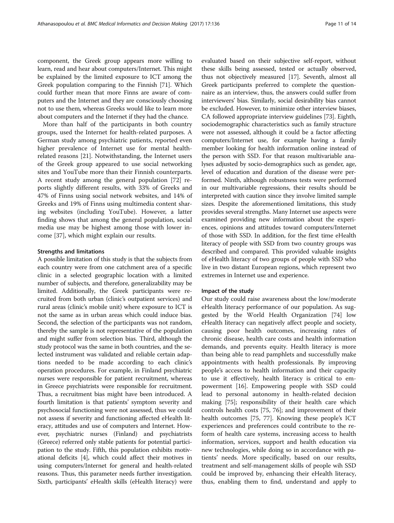component, the Greek group appears more willing to learn, read and hear about computers/Internet. This might be explained by the limited exposure to ICT among the Greek population comparing to the Finnish [[71](#page-13-0)]. Which could further mean that more Finns are aware of computers and the Internet and they are consciously choosing not to use them, whereas Greeks would like to learn more about computers and the Internet if they had the chance.

More than half of the participants in both country groups, used the Internet for health-related purposes. A German study among psychiatric patients, reported even higher prevalence of Internet use for mental healthrelated reasons [[21\]](#page-12-0). Notwithstanding, the Internet users of the Greek group appeared to use social networking sites and YouTube more than their Finnish counterparts. A recent study among the general population [\[72](#page-13-0)] reports slightly different results, with 33% of Greeks and 47% of Finns using social network websites, and 14% of Greeks and 19% of Finns using multimedia content sharing websites (including YouTube). However, a latter finding shows that among the general population, social media use may be highest among those with lower income [[37\]](#page-13-0), which might explain our results.

#### Strengths and limitations

A possible limitation of this study is that the subjects from each country were from one catchment area of a specific clinic in a selected geographic location with a limited number of subjects, and therefore, generalizability may be limited. Additionally, the Greek participants were recruited from both urban (clinic's outpatient services) and rural areas (clinic's mobile unit) where exposure to ICT is not the same as in urban areas which could induce bias. Second, the selection of the participants was not random, thereby the sample is not representative of the population and might suffer from selection bias. Third, although the study protocol was the same in both countries, and the selected instrument was validated and reliable certain adaptions needed to be made according to each clinic's operation procedures. For example, in Finland psychiatric nurses were responsible for patient recruitment, whereas in Greece psychiatrists were responsible for recruitment. Thus, a recruitment bias might have been introduced. A fourth limitation is that patients' symptom severity and psychosocial functioning were not assessed, thus we could not assess if severity and functioning affected eHealth literacy, attitudes and use of computers and Internet. However, psychiatric nurses (Finland) and psychiatrists (Greece) referred only stable patients for potential participation to the study. Fifth, this population exhibits motivational deficits [\[4](#page-12-0)], which could affect their motives in using computers/Internet for general and health-related reasons. Thus, this parameter needs further investigation. Sixth, participants' eHealth skills (eHealth literacy) were

evaluated based on their subjective self-report, without these skills being assessed, tested or actually observed, thus not objectively measured [\[17\]](#page-12-0). Seventh, almost all Greek participants preferred to complete the questionnaire as an interview, thus, the answers could suffer from interviewers' bias. Similarly, social desirability bias cannot be excluded. However, to minimize other interview biases, CA followed appropriate interview guidelines [[73](#page-13-0)]. Eighth, sociodemographic characteristics such as family structure were not assessed, although it could be a factor affecting computers/Internet use, for example having a family member looking for health information online instead of the person with SSD. For that reason multivariable analyses adjusted by socio-demographics such as gender, age, level of education and duration of the disease were performed. Ninth, although robustness tests were performed in our multivariable regressions, their results should be interpreted with caution since they involve limited sample sizes. Despite the aforementioned limitations, this study provides several strengths. Many Internet use aspects were examined providing new information about the experiences, opinions and attitudes toward computers/Internet of those with SSD. In addition, for the first time eHealth literacy of people with SSD from two country groups was described and compared. This provided valuable insights of eHealth literacy of two groups of people with SSD who live in two distant European regions, which represent two extremes in Internet use and experience.

## Impact of the study

Our study could raise awareness about the low/moderate eHealth literacy performance of our population. As suggested by the World Health Organization [\[74](#page-13-0)] low eHealth literacy can negatively affect people and society, causing poor health outcomes, increasing rates of chronic disease, health care costs and health information demands, and prevents equity. Health literacy is more than being able to read pamphlets and successfully make appointments with health professionals. By improving people's access to health information and their capacity to use it effectively, health literacy is critical to empowerment [[16\]](#page-12-0). Empowering people with SSD could lead to personal autonomy in health-related decision making [\[75](#page-13-0)]; responsibility of their health care which controls health costs [\[75, 76](#page-13-0)]; and improvement of their health outcomes [[75, 77](#page-13-0)]. Knowing these people's ICT experiences and preferences could contribute to the reform of health care systems, increasing access to health information, services, support and health education via new technologies, while doing so in accordance with patients' needs. More specifically, based on our results, treatment and self-management skills of people wih SSD could be improved by, enhancing their eHealth literacy, thus, enabling them to find, understand and apply to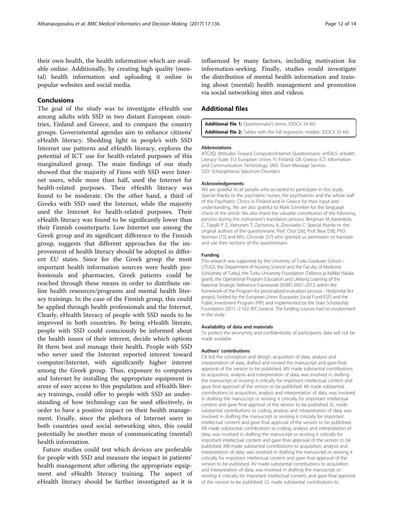<span id="page-11-0"></span>their own health, the health information which are available online. Additionally, by creating high quality (mental) health information and uploading it online in popular websites and social media.

## Conclusions

The goal of the study was to investigate eHealth use among adults with SSD in two distant European countries, Finland and Greece, and to compare the country groups. Governmental agendas aim to enhance citizens' eHealth literacy. Shedding light in people's with SSD Internet use patterns and eHealth literacy, explores the potential of ICT use for health-related purposes of this marginalized group. The main findings of our study showed that the majority of Finns with SSD were Internet users, while more than half, used the Internet for health-related purposes. Their eHealth literacy was found to be moderate. On the other hand, a third of Greeks with SSD used the Internet, while the majority used the Internet for health-related purposes. Their eHealth literacy was found to be significantly lower than their Finnish counterparts. Low Internet use among the Greek group and its significant difference to the Finnish group, suggests that different approaches for the improvement of health literacy should be adopted in different EU states. Since for the Greek group the most important health information sources were health professionals and pharmacies, Greek patients could be reached through these means in order to distribute online health resources/programs and mental health literacy trainings. In the case of the Finnish group, this could be applied through health professionals and the Internet. Clearly, eHealth literacy of people with SSD needs to be improved in both countries. By being eHealth literate, people with SSD could consciously be informed about the health issues of their interest, decide which options fit them best and manage their health. People with SSD who never used the Internet reported interest toward computer/Internet, with significantly higher interest among the Greek group. Thus, exposure to computers and Internet by installing the appropriate equipment in areas of easy access to this population and eHealth literacy trainings, could offer to people with SSD an understanding of how technology can be used effectively, in order to have a positive impact on their health management. Finally, since the plethora of Internet users in both countries used social networking sites, this could potentially be another mean of communicating (mental) health information.

Future studies could test which devices are preferable for people with SSD and measure the impact in patients' health management after offering the appropriate equipment and eHealth literacy training. The aspect of eHealth literacy should be further investigated as it is

influenced by many factors, including motivation for information-seeking. Finally, studies could investigate the distribution of mental health information and training about (mental) health management and promotion via social networking sites and videos.

## Additional files

[Additional file 1:](dx.doi.org/10.1186/s12911-017-0531-4) Questionnaire's items. (DOCX 24 kb) [Additional file 2:](dx.doi.org/10.1186/s12911-017-0531-4) Tables with the full regression models. (DOCX 20 kb)

#### Abbreviations

ATC/IQ: Attitudes Toward Computer/Internet Questionnaire; eHEALS: eHealth Literacy Scale; EU: European Union; FI: Finland; GR: Greece; ICT: Information and Communication Technology; SMS: Short Message Service; SSD: Schizophrenia Spectrum Disorders

#### Acknowledgements

We are grateful to all people who accepted to participate in this study. Special thanks to the psychiatric nurses, the psychiatrists and the whole staff of the Psychiatric Clinics in Finland and in Greece for their input and understanding. We are also grateful to Mark Schreiber for the language check of the article. We also thank the valuable contribution of the following persons during the instrument's translation process: Bergman M, Karanikola C, Topalli P Z, Vainonen T, Zachariou A, Zinoviadis C. Special thanks to the original authors of the questionnaire; Prof. Choi [[26](#page-12-0)]; Prof. Bear [\[58](#page-13-0)]; PhD Norman [\[15](#page-12-0)] and MSc Chronaki [[57\]](#page-13-0) who granted us permission to translate and use their sections of the questionnaire.

#### Funding

This research was supported by the University of Turku Graduate School – UTUGS, the Department of Nursing Science and the Faculty of Medicine (University of Turku), the Turku University Foundation (Tellervo ja Kyllikki Hakala grant), the Operational Program Education and Lifelong Learning of the National Strategic Reference Framework (NSRF) 2007–2013, within the framework of the Program for personalized evaluation process - Horizontal Act project, funded by the European Union (European Social Fund-ESF) and the Public Investment Program (PIP), and implemented by the State Scholarship Foundation (2011–2-162; IKY, Greece). The funding sources had no involvement in the study.

#### Availability of data and materials

To protect the anonymity and confidentiality of participants, data will not be made available.

#### Authors' contributions

CA led the conception and design, acquisition of data, analysis and interpretation of data, drafted and revised the manuscript and gave final approval of the version to be published. MV made substantial contributions to acquisition, analysis and interpretation of data, was involved in drafting the manuscript or revising it critically for important intellectual content and gave final approval of the version to be published. KK made substantial contributions to acquisition, analysis and interpretation of data, was involved in drafting the manuscript or revising it critically for important intellectual content and gave final approval of the version to be published. EL made substantial contributions to coding, analysis and interpretation of data, was involved in drafting the manuscript or revising it critically for important intellectual content and gave final approval of the version to be published. AB made substantial contributions to coding, analysis and interpretation of data, was involved in drafting the manuscript or revising it critically for important intellectual content and gave final approval of the version to be published. MB made substantial contributions to acquisition, analysis and interpretation of data, was involved in drafting the manuscript or revising it critically for important intellectual content and gave final approval of the version to be published. AV made substantial contributions to acquisition and interpretation of data, was involved in drafting the manuscript or revising it critically for important intellectual content, and gave final approval of the version to be published. CL made substantial contributions to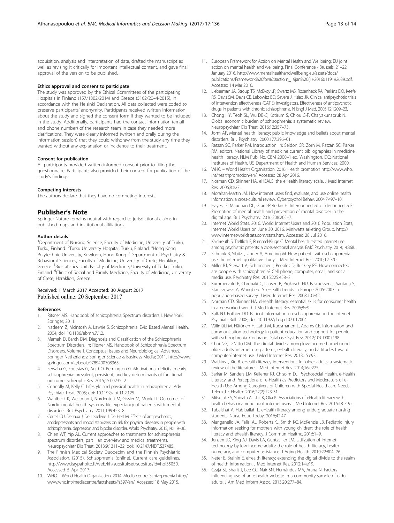<span id="page-12-0"></span>acquisition, analysis and interpretation of data, drafted the manuscript as well as revising it critically for important intellectual content, and gave final approval of the version to be published.

#### Ethics approval and consent to participate

The study was approved by the Ethical Committees of the participating Hospitals in Finland (157/1802/2014) and Greece (5162/20–4-2015), in accordance with the Helsinki Declaration. All data collected were coded to preserve participants' anonymity. Participants received written information about the study and signed the consent form if they wanted to be included in the study. Additionally, participants had the contact information (email and phone number) of the research team in case they needed more clarifications. They were clearly informed (written and orally during the information session) that they could withdraw from the study any time they wanted without any explanation or incidence to their treatment.

#### Consent for publication

All participants provided written informed consent prior to filling the questionnaire. Participants also provided their consent for publication of the study's findings.

#### Competing interests

The authors declare that they have no competing interests.

## Publisher's Note

Springer Nature remains neutral with regard to jurisdictional claims in published maps and institutional affiliations.

#### Author details

<sup>1</sup>Department of Nursing Science, Faculty of Medicine, University of Turku, Turku, Finland. <sup>2</sup>Turku University Hospital, Turku, Finland. <sup>3</sup>Hong Kong Polytechnic University, Kowloon, Hong Kong. <sup>4</sup>Department of Psychiatry & Behavioral Sciences, Faculty of Medicine, University of Crete, Heraklion, Greece. <sup>5</sup>Biostatistics Unit, Faculty of Medicine, University of Turku, Turku, Finland. <sup>6</sup>Clinic of Social and Family Medicine, Faculty of Medicine, University of Crete, Heraklion, Greece.

#### Received: 1 March 2017 Accepted: 30 August 2017 Published online: 20 September 2017

#### References

- 1. Ritsner MS. Handbook of schizophrenia Spectrum disorders I. New York: Springer; 2011.
- 2. Nadeem Z, McIntosh A, Lawrie S. Schizophrenia. Evid Based Mental Health. 2004; doi: [10.1136/ebmh.7.1.2.](http://dx.doi.org/10.1136/ebmh.7.1.2)
- 3. Mamah D, Barch DM. Diagnosis and Classification of the Schizophrenia Spectrum Disorders. In: Ritsner MS. Handbook of Schizophrenia Spectrum Disorders, Volume I, Conceptual Issues and Neurobiological Advances. Springer Netherlands: Springer Science & Business Media; 2011. [http://www.](http://www.springer.com/la/book/9789400708365) [springer.com/la/book/9789400708365](http://www.springer.com/la/book/9789400708365).
- 4. Fervaha G, Foussias G, Agid O, Remington G. Motivational deficits in early schizophrenia: prevalent, persistent, and key determinants of functional outcome. Schizophr Res. 2015;15:00235–2.
- 5. Connolly M, Kelly C. Lifestyle and physical health in schizophrenia. Adv Psychiatr Treat. 2005; doi: [10.1192/apt.11.2.125](http://dx.doi.org/10.1192/apt.11.2.125).
- 6. Wahlbeck K, Westman J, Nordentoft M, Gissler M, Munk LT. Outcomes of Nordic mental health systems: life expectancy of patients with mental disorders. Br J Psychiatry. 2011;199:453–8.
- 7. Correll CU, Detraux J, De Lepeleire J, De Hert M. Effects of antipsychotics, antidepressants and mood stabilizers on risk for physical diseases in people with schizophrenia, depression and bipolar disorder. World Psychiatry. 2015;14:119–36.
- 8. Chien WT, Yip AL. Current approaches to treatments for schizophrenia spectrum disorders, part I: an overview and medical treatments. Neuropsychiatr Dis Treat. 2013;9:1311–32. doi: [10.2147/NDT.S37485](http://dx.doi.org/10.2147/NDT.S37485).
- 9. The Finnish Medical Society Duodecim and the Finnish Psychiatric Association. (2015). Schizophrenia (online). Current care guidelines. <http://www.kaypahoito.fi/web/kh/suositukset/suositus?id=hoi35050>. Accessed 5 Apr 2017.
- 10. WHO World Health Organization. 2014. Media centre: Schizophrenia [http://](http://www.who.int/mediacentre/factsheets/fs397/en/) [www.who.int/mediacentre/factsheets/fs397/en/.](http://www.who.int/mediacentre/factsheets/fs397/en/) Accessed 18 May 2015.
- 11. European Framework for Action on Mental Health and Wellbeing: EU joint action on mental health and wellbeing, Final Conference - Brussels, 21–22 January 2016. [http://www.mentalhealthandwellbeing.eu/assets/docs/](http://www.mentalhealthandwellbeing.eu/assets/docs/publications/Framework%20for%20actio%20n_19jan%20(1)-20160119192639.pdf) [publications/Framework%20for%20actio n\\_19jan%20\(1\)-20160119192639.pdf](http://www.mentalhealthandwellbeing.eu/assets/docs/publications/Framework%20for%20actio%20n_19jan%20(1)-20160119192639.pdf). Accessed 14 Mar 2016.
- 12. Lieberman JA, Stroup TS, McEvoy JP, Swartz MS, Rosenheck RA, Perkins DO, Keefe RS, Davis SM, Davis CE, Lebowitz BD, Severe J, Hsiao JK. Clinical antipsychotic trials of intervention effectiveness (CATIE) investigators. Effectiveness of antipsychotic drugs in patients with chronic schizophrenia. N Engl J Med. 2005;12:1209–23.
- 13. Chong HY, Teoh SL, Wu DB-C, Kotirum S, Chiou C-F, Chaiyakunapruk N. Global economic burden of schizophrenia: a systematic review. Neuropsychiatr Dis Treat. 2016;12:357–73.
- 14. Jorm AF. Mental health literacy: public knowledge and beliefs about mental disorders. Br J Psychiatry. 2000;177:396–01.
- 15. Ratzan SC, Parker RM. Introduction. In: Seldon CR, Zorn M, Ratzan SC, Parker RM, editors. National Library of medicine current bibliographies in medicine: health literacy. NLM Pub. No. CBM 2000–1 ed. Washington, DC: National Institutes of Health, US Department of Health and Human Services; 2000.
- 16. WHO World Health Organization. 2016. Health promotion [http://www.who.](http://www.who.int/healthpromotion/en/) [int/healthpromotion/en/.](http://www.who.int/healthpromotion/en/) Accessed 28 Apr 2016.
- 17. Norman CD, Skinner HA. eHEALS: the eHealth literacy scale. J Med Internet Res. 2006;8:e27.
- 18. Morahan-Martin JM. How internet users find, evaluate, and use online health information: a cross-cultural review. Cyberpsychol Behav. 2004;7:497–10.
- 19. Hayes JF, Maughan DL, Grant-Peterkin H. Interconnected or disconnected? Promotion of mental health and prevention of mental disorder in the digital age. Br J Psychiatry. 2016;208:205–7.
- 20. Internet World Stats. 2016. World Internet Users and 2016 Population Stats, Internet World Users on June 30, 2016. Miniwatts arketing Group. [http://](http://www.internetworldstats.com/stats.htm) [www.internetworldstats.com/stats.htm](http://www.internetworldstats.com/stats.htm). Accessed 28 Jul 2016.
- 21. Kalckreuth S, Trefflich F, Rummel-Kluge C. Mental health related internet use among psychiatric patients: a cross-sectional analysis. BMC Psychiatry. 2014;14:368.
- 22. Schrank B, Sibitz I, Unger A, Amering M. How patients with schizophrenia use the internet: qualitative study. J Med Internet Res. 2010;12:e70.
- 23. Miller BJ, Stewart A, Schrimsher J, Peeples D, Buckley PF. How connected are people with schizophrenia? Cell phone, computer, email, and social media use. Psychiatry Res. 2015;225:458–3.
- 24. Kummervold P, Chronaki C, Lausen B, Prokosch HU, Rasmussen J, Santana S, Staniszewski A, Wangberg S. eHealth trends in Europe 2005-2007: a population-based survey. J Med Internet Res. 2008;10:e42.
- 25. Norman CD, Skinner HA. eHealth literacy: essential skills for consumer health in a networked world. J Med Internet Res. 2006;8:e9.
- 26. Kalk NJ, Pothier DD. Patient information on schizophrenia on the internet. Psychiatr Bull. 2008; doi: [10.1192/pb.bp.107.017004.](http://dx.doi.org/10.1192/pb.bp.107.017004)
- 27. Välimäki M, Hätönen H, Lahti M, Kuosmanen L, Adams CE. Information and communication technology in patient education and support for people with schizophrenia. Cochrane Database Syst Rev. 2012;10:CD007198.
- 28. Choi NG, DiNitto DM. The digital divide among low-income homebound older adults: internet use patterns, eHealth literacy, and attitudes toward computer/internet use. J Med Internet Res. 2013;15:e93.
- 29. Watkins I, Xie B. eHealth literacy interventions for older adults: a systematic review of the literature. J Med Internet Res. 2014;16:e225.
- 30. Sarkar M, Sanders LM, Kelleher KJ, Chisolm DJ. Psychosocial Health, e-Health Literacy, and Perceptions of e-Health as Predictors and Moderators of e-Health Use Among Caregivers of Children with Special Healthcare Needs. Telem J E Health. 2016;22(2):123-31.
- 31. Mitsutake S, Shibata A, Ishii K, Oka K. Associations of eHealth literacy with health behavior among adult internet users. J Med Internet Res. 2016;18:e192.
- 32. Tubaishat A, Habiballah L. eHealth literacy among undergraduate nursing students. Nurse Educ Today. 2016;42:47.
- 33. Manganello JA, Falisi AL, Roberts KJ, Smith KC, McKenzie LB. Pediatric injury information seeking for mothers with young children: the role of health literacy and ehealth literacy. J Commun Healthc. 2016:1–9.
- 34. Jensen JD, King AJ, Davis LA, Guntzviller LM. Utilization of internet technology by low-income adults: the role of health literacy, health numeracy, and computer assistance. J Aging Health. 2010;22:804–26.
- 35. Neter E, Brainin E. eHealth literacy: extending the digital divide to the realm of health information. J Med Internet Res. 2012;14:e19.
- 36. Czaja SJ, Sharit J, Lee CC, Nair SN, Hernández MA, Arana N. Factors influencing use of an e-health website in a community sample of older adults. J Am Med Inform Assoc. 2013;20:277–84.